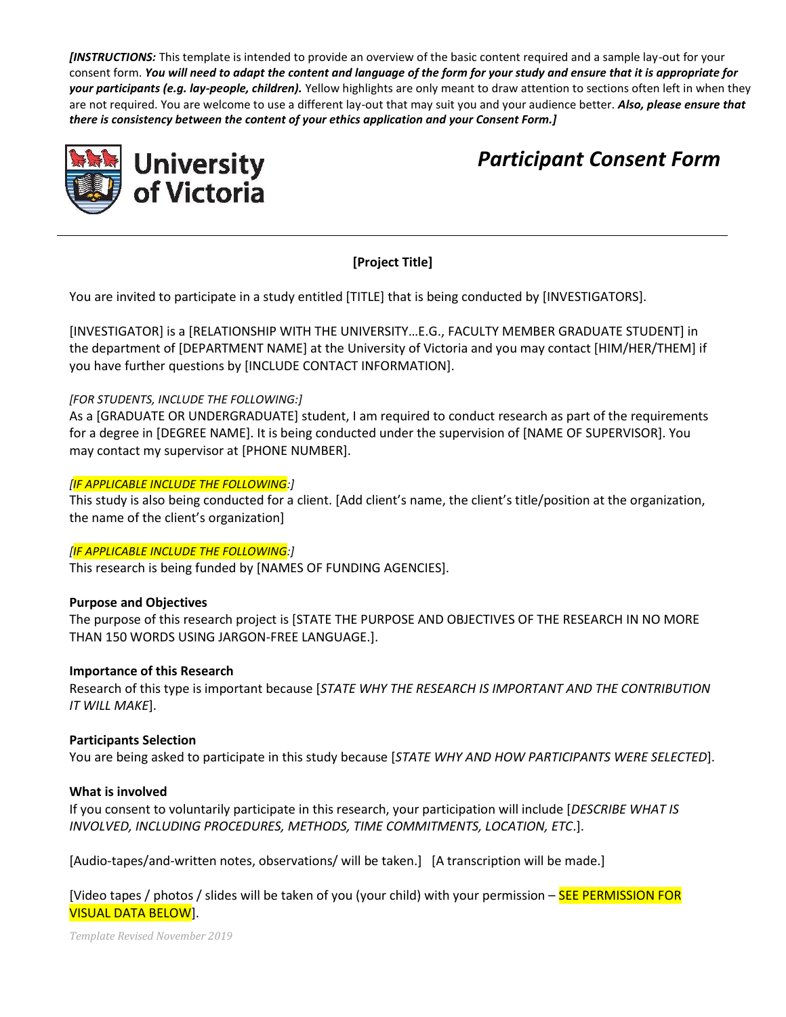*[INSTRUCTIONS:* This template is intended to provide an overview of the basic content required and a sample lay-out for your consent form. *You will need to adapt the content and language of the form for your study and ensure that it is appropriate for your participants (e.g. lay-people, children).* Yellow highlights are only meant to draw attention to sections often left in when they are not required. You are welcome to use a different lay-out that may suit you and your audience better. *Also, please ensure that there is consistency between the content of your ethics application and your Consent Form.]*



*Participant Consent Form*

# **[Project Title]**

You are invited to participate in a study entitled [TITLE] that is being conducted by [INVESTIGATORS].

[INVESTIGATOR] is a [RELATIONSHIP WITH THE UNIVERSITY…E.G., FACULTY MEMBER GRADUATE STUDENT] in the department of [DEPARTMENT NAME] at the University of Victoria and you may contact [HIM/HER/THEM] if you have further questions by [INCLUDE CONTACT INFORMATION].

# *[FOR STUDENTS, INCLUDE THE FOLLOWING:]*

As a [GRADUATE OR UNDERGRADUATE] student, I am required to conduct research as part of the requirements for a degree in [DEGREE NAME]. It is being conducted under the supervision of [NAME OF SUPERVISOR]. You may contact my supervisor at [PHONE NUMBER].

### *[IF APPLICABLE INCLUDE THE FOLLOWING:]*

This study is also being conducted for a client. [Add client's name, the client's title/position at the organization, the name of the client's organization]

#### *[IF APPLICABLE INCLUDE THE FOLLOWING:]*

This research is being funded by [NAMES OF FUNDING AGENCIES].

# **Purpose and Objectives**

The purpose of this research project is [STATE THE PURPOSE AND OBJECTIVES OF THE RESEARCH IN NO MORE THAN 150 WORDS USING JARGON-FREE LANGUAGE.].

#### **Importance of this Research**

Research of this type is important because [*STATE WHY THE RESEARCH IS IMPORTANT AND THE CONTRIBUTION IT WILL MAKE*].

# **Participants Selection**

You are being asked to participate in this study because [*STATE WHY AND HOW PARTICIPANTS WERE SELECTED*].

#### **What is involved**

If you consent to voluntarily participate in this research, your participation will include [*DESCRIBE WHAT IS INVOLVED, INCLUDING PROCEDURES, METHODS, TIME COMMITMENTS, LOCATION, ETC*.].

[Audio-tapes/and-written notes, observations/ will be taken.] [A transcription will be made.]

[Video tapes / photos / slides will be taken of you (your child) with your permission – SEE PERMISSION FOR VISUAL DATA BELOW].

*Template Revised November 2019*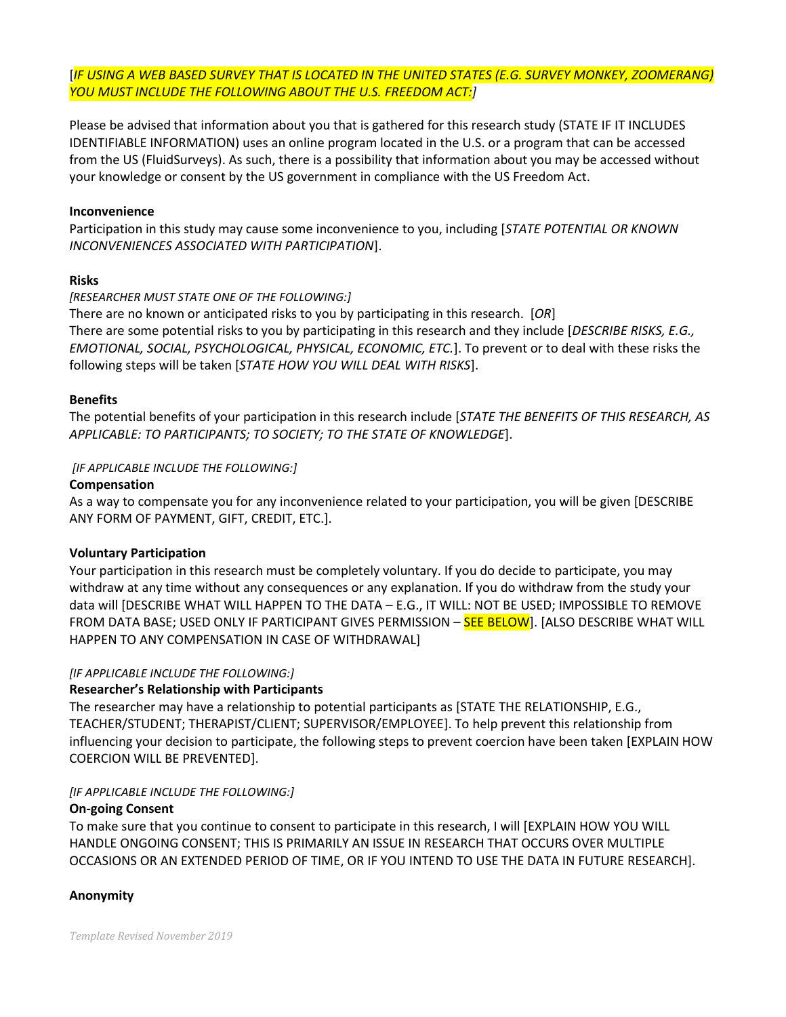[*IF USING A WEB BASED SURVEY THAT IS LOCATED IN THE UNITED STATES (E.G. SURVEY MONKEY, ZOOMERANG) YOU MUST INCLUDE THE FOLLOWING ABOUT THE U.S. FREEDOM ACT:]*

Please be advised that information about you that is gathered for this research study (STATE IF IT INCLUDES IDENTIFIABLE INFORMATION) uses an online program located in the U.S. or a program that can be accessed from the US (FluidSurveys). As such, there is a possibility that information about you may be accessed without your knowledge or consent by the US government in compliance with the US Freedom Act.

### **Inconvenience**

Participation in this study may cause some inconvenience to you, including [*STATE POTENTIAL OR KNOWN INCONVENIENCES ASSOCIATED WITH PARTICIPATION*].

#### **Risks**

### *[RESEARCHER MUST STATE ONE OF THE FOLLOWING:]*

There are no known or anticipated risks to you by participating in this research. [*OR*] There are some potential risks to you by participating in this research and they include [*DESCRIBE RISKS, E.G., EMOTIONAL, SOCIAL, PSYCHOLOGICAL, PHYSICAL, ECONOMIC, ETC.*]. To prevent or to deal with these risks the following steps will be taken [*STATE HOW YOU WILL DEAL WITH RISKS*].

### **Benefits**

The potential benefits of your participation in this research include [*STATE THE BENEFITS OF THIS RESEARCH, AS APPLICABLE: TO PARTICIPANTS; TO SOCIETY; TO THE STATE OF KNOWLEDGE*].

### *[IF APPLICABLE INCLUDE THE FOLLOWING:]*

### **Compensation**

As a way to compensate you for any inconvenience related to your participation, you will be given [DESCRIBE ANY FORM OF PAYMENT, GIFT, CREDIT, ETC.].

# **Voluntary Participation**

Your participation in this research must be completely voluntary. If you do decide to participate, you may withdraw at any time without any consequences or any explanation. If you do withdraw from the study your data will [DESCRIBE WHAT WILL HAPPEN TO THE DATA – E.G., IT WILL: NOT BE USED; IMPOSSIBLE TO REMOVE FROM DATA BASE; USED ONLY IF PARTICIPANT GIVES PERMISSION - **SEE BELOW**]. [ALSO DESCRIBE WHAT WILL HAPPEN TO ANY COMPENSATION IN CASE OF WITHDRAWAL]

# *[IF APPLICABLE INCLUDE THE FOLLOWING:]*

# **Researcher's Relationship with Participants**

The researcher may have a relationship to potential participants as [STATE THE RELATIONSHIP, E.G., TEACHER/STUDENT; THERAPIST/CLIENT; SUPERVISOR/EMPLOYEE]. To help prevent this relationship from influencing your decision to participate, the following steps to prevent coercion have been taken [EXPLAIN HOW COERCION WILL BE PREVENTED].

# *[IF APPLICABLE INCLUDE THE FOLLOWING:]*

#### **On-going Consent**

To make sure that you continue to consent to participate in this research, I will [EXPLAIN HOW YOU WILL HANDLE ONGOING CONSENT; THIS IS PRIMARILY AN ISSUE IN RESEARCH THAT OCCURS OVER MULTIPLE OCCASIONS OR AN EXTENDED PERIOD OF TIME, OR IF YOU INTEND TO USE THE DATA IN FUTURE RESEARCH].

# **Anonymity**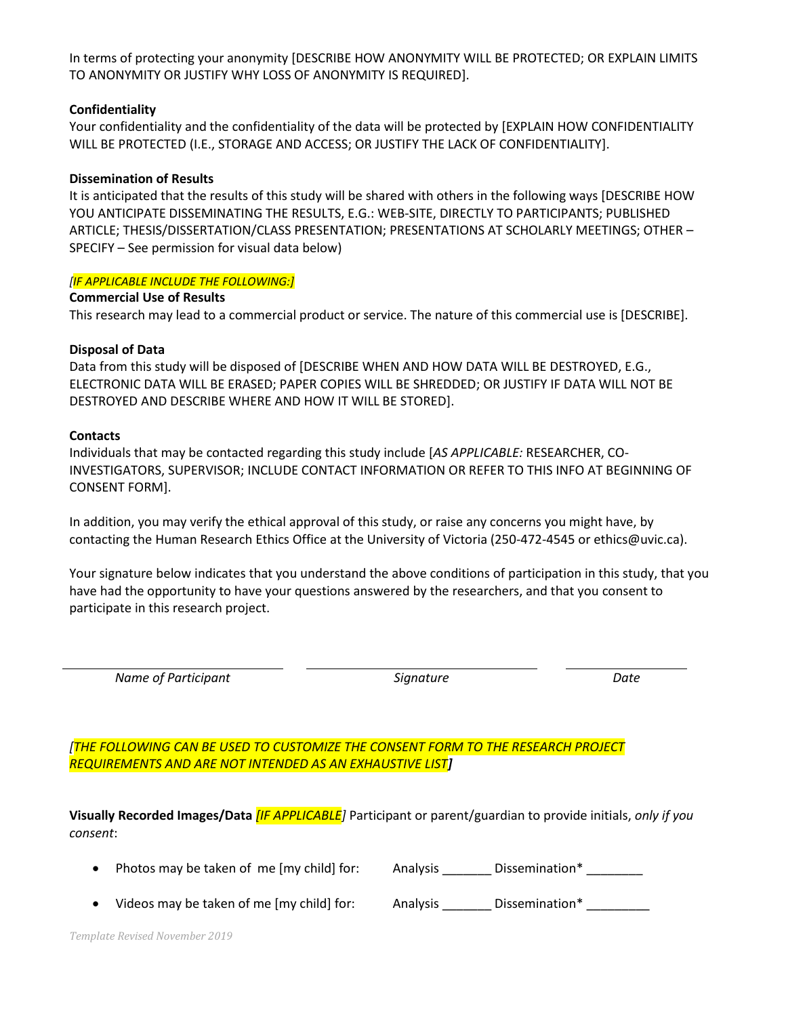In terms of protecting your anonymity [DESCRIBE HOW ANONYMITY WILL BE PROTECTED; OR EXPLAIN LIMITS TO ANONYMITY OR JUSTIFY WHY LOSS OF ANONYMITY IS REQUIRED].

### **Confidentiality**

Your confidentiality and the confidentiality of the data will be protected by [EXPLAIN HOW CONFIDENTIALITY WILL BE PROTECTED (I.E., STORAGE AND ACCESS; OR JUSTIFY THE LACK OF CONFIDENTIALITY].

### **Dissemination of Results**

It is anticipated that the results of this study will be shared with others in the following ways [DESCRIBE HOW YOU ANTICIPATE DISSEMINATING THE RESULTS, E.G.: WEB-SITE, DIRECTLY TO PARTICIPANTS; PUBLISHED ARTICLE; THESIS/DISSERTATION/CLASS PRESENTATION; PRESENTATIONS AT SCHOLARLY MEETINGS; OTHER – SPECIFY – See permission for visual data below)

### *[IF APPLICABLE INCLUDE THE FOLLOWING:]*

**Commercial Use of Results** This research may lead to a commercial product or service. The nature of this commercial use is [DESCRIBE].

### **Disposal of Data**

Data from this study will be disposed of [DESCRIBE WHEN AND HOW DATA WILL BE DESTROYED, E.G., ELECTRONIC DATA WILL BE ERASED; PAPER COPIES WILL BE SHREDDED; OR JUSTIFY IF DATA WILL NOT BE DESTROYED AND DESCRIBE WHERE AND HOW IT WILL BE STORED].

### **Contacts**

Individuals that may be contacted regarding this study include [*AS APPLICABLE:* RESEARCHER, CO-INVESTIGATORS, SUPERVISOR; INCLUDE CONTACT INFORMATION OR REFER TO THIS INFO AT BEGINNING OF CONSENT FORM].

In addition, you may verify the ethical approval of this study, or raise any concerns you might have, by contacting the Human Research Ethics Office at the University of Victoria (250-472-4545 or ethics@uvic.ca).

Your signature below indicates that you understand the above conditions of participation in this study, that you have had the opportunity to have your questions answered by the researchers, and that you consent to participate in this research project.

*Name of Participant Signature Date*

*[THE FOLLOWING CAN BE USED TO CUSTOMIZE THE CONSENT FORM TO THE RESEARCH PROJECT REQUIREMENTS AND ARE NOT INTENDED AS AN EXHAUSTIVE LIST]*

**Visually Recorded Images/Data** *[IF APPLICABLE]* Participant or parent/guardian to provide initials, *only if you consent*:

|  | Photos may be taken of me [my child] for: |  | Analysis | Dissemination* |
|--|-------------------------------------------|--|----------|----------------|
|--|-------------------------------------------|--|----------|----------------|

Videos may be taken of me [my child] for: Analysis \_\_\_\_\_\_\_ Dissemination\* \_\_\_\_\_\_\_\_\_